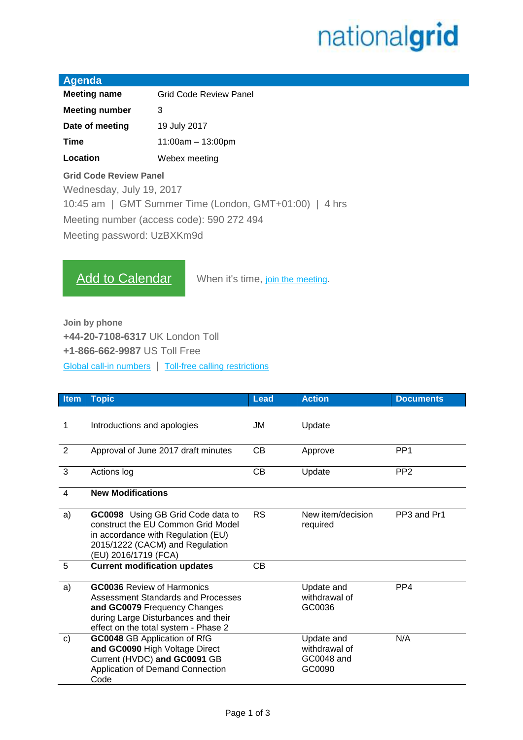## nationalgrid

| Agenda                |                               |
|-----------------------|-------------------------------|
| <b>Meeting name</b>   | <b>Grid Code Review Panel</b> |
| <b>Meeting number</b> | З                             |
| Date of meeting       | 19 July 2017                  |
| Time                  | $11:00am - 13:00pm$           |
| Location              | Webex meeting                 |

## **Grid Code Review Panel**

Wednesday, July 19, 2017

10:45 am | GMT Summer Time (London, GMT+01:00) | 4 hrs

Meeting number (access code): 590 272 494

Meeting password: UzBXKm9d

[Add to Calendar](https://uknationalgrid.webex.com/uknationalgrid/j.php?MTID=m14ca12a61fa67c7377af7e9a8b47fb98) When it's time, [join the meeting](https://uknationalgrid.webex.com/uknationalgrid/j.php?MTID=m68be1f005eda0227ab8c84724b213b46).

**Join by phone +44-20-7108-6317** UK London Toll **+1-866-662-9987** US Toll Free [Global call-in numbers](https://uknationalgrid.webex.com/uknationalgrid/globalcallin.php?serviceType=MC&ED=570484652&tollFree=1) | [Toll-free calling restrictions](https://www.webex.com/pdf/tollfree_restrictions.pdf)

| <b>Item</b> | <b>Topic</b>                                                                                                                                                                           | <b>Lead</b> | <b>Action</b>                                       | <b>Documents</b> |
|-------------|----------------------------------------------------------------------------------------------------------------------------------------------------------------------------------------|-------------|-----------------------------------------------------|------------------|
| 1           | Introductions and apologies                                                                                                                                                            | JM          | Update                                              |                  |
| 2           | Approval of June 2017 draft minutes                                                                                                                                                    | CВ          | Approve                                             | PP <sub>1</sub>  |
| 3           | Actions log                                                                                                                                                                            | СB          | Update                                              | PP <sub>2</sub>  |
| 4           | <b>New Modifications</b>                                                                                                                                                               |             |                                                     |                  |
| a)          | GC0098 Using GB Grid Code data to<br>construct the EU Common Grid Model<br>in accordance with Regulation (EU)<br>2015/1222 (CACM) and Regulation<br>(EU) 2016/1719 (FCA)               | <b>RS</b>   | New item/decision<br>required                       | PP3 and Pr1      |
| 5           | <b>Current modification updates</b>                                                                                                                                                    | СB          |                                                     |                  |
| a)          | <b>GC0036</b> Review of Harmonics<br>Assessment Standards and Processes<br>and GC0079 Frequency Changes<br>during Large Disturbances and their<br>effect on the total system - Phase 2 |             | Update and<br>withdrawal of<br>GC0036               | PP <sub>4</sub>  |
| c)          | <b>GC0048 GB Application of RfG</b><br>and GC0090 High Voltage Direct<br>Current (HVDC) and GC0091 GB<br>Application of Demand Connection<br>Code                                      |             | Update and<br>withdrawal of<br>GC0048 and<br>GC0090 | N/A              |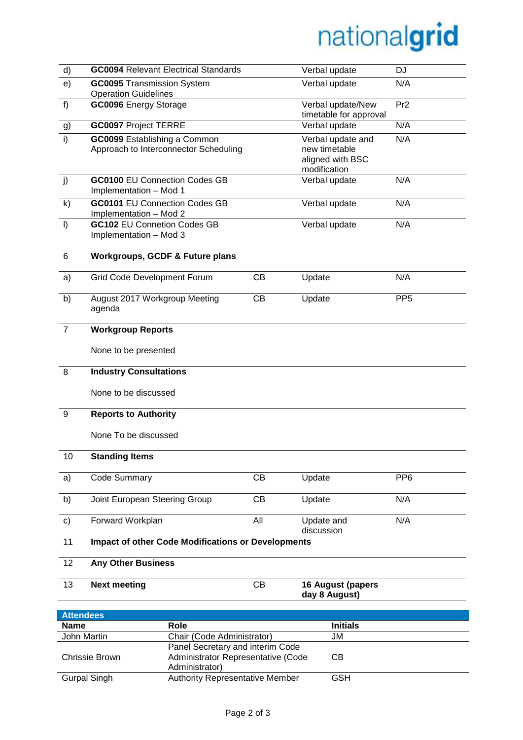## nationalgrid

| d)                                | <b>GC0094 Relevant Electrical Standards</b>                           |     | Verbal update                                                          | <b>DJ</b>       |  |
|-----------------------------------|-----------------------------------------------------------------------|-----|------------------------------------------------------------------------|-----------------|--|
| e)                                | <b>GC0095</b> Transmission System<br><b>Operation Guidelines</b>      |     | Verbal update                                                          | N/A             |  |
| f)                                | GC0096 Energy Storage                                                 |     | Verbal update/New<br>timetable for approval                            | Pr <sub>2</sub> |  |
| g)                                | <b>GC0097 Project TERRE</b>                                           |     | Verbal update                                                          | N/A             |  |
| i)                                | GC0099 Establishing a Common<br>Approach to Interconnector Scheduling |     | Verbal update and<br>new timetable<br>aligned with BSC<br>modification | N/A             |  |
| j)                                | <b>GC0100 EU Connection Codes GB</b><br>Implementation - Mod 1        |     | Verbal update                                                          | N/A             |  |
| k)                                | <b>GC0101 EU Connection Codes GB</b><br>Implementation - Mod 2        |     | Verbal update                                                          | N/A             |  |
| $\vert$                           | <b>GC102 EU Connetion Codes GB</b><br>Implementation - Mod 3          |     | Verbal update                                                          | N/A             |  |
| 6                                 | <b>Workgroups, GCDF &amp; Future plans</b>                            |     |                                                                        |                 |  |
| a)                                | Grid Code Development Forum                                           | CB  | Update                                                                 | N/A             |  |
| b)                                | August 2017 Workgroup Meeting<br>agenda                               | CB  | Update                                                                 | PP <sub>5</sub> |  |
| $\overline{7}$                    | <b>Workgroup Reports</b>                                              |     |                                                                        |                 |  |
|                                   | None to be presented                                                  |     |                                                                        |                 |  |
| 8                                 | <b>Industry Consultations</b>                                         |     |                                                                        |                 |  |
|                                   | None to be discussed                                                  |     |                                                                        |                 |  |
| 9                                 | <b>Reports to Authority</b>                                           |     |                                                                        |                 |  |
|                                   | None To be discussed                                                  |     |                                                                        |                 |  |
| 10                                | <b>Standing Items</b>                                                 |     |                                                                        |                 |  |
| a)                                | Code Summary                                                          | CB  | Update                                                                 | PP <sub>6</sub> |  |
| b)                                | Joint European Steering Group                                         | CB  | Update                                                                 | N/A             |  |
| $\mathbf{c}$                      | Forward Workplan                                                      | All | Update and<br>discussion                                               | N/A             |  |
| 11                                | <b>Impact of other Code Modifications or Developments</b>             |     |                                                                        |                 |  |
| 12                                | <b>Any Other Business</b>                                             |     |                                                                        |                 |  |
| 13                                | <b>Next meeting</b>                                                   | CB  | 16 August (papers<br>day 8 August)                                     |                 |  |
|                                   |                                                                       |     |                                                                        |                 |  |
| <b>Attendees</b>                  |                                                                       |     |                                                                        |                 |  |
| <b>Name</b><br><b>John Martin</b> | Role                                                                  |     | <b>Initials</b>                                                        |                 |  |
|                                   | Chair (Code Administrator)                                            |     | JM                                                                     |                 |  |
|                                   | Panel Secretary and interim Code                                      |     |                                                                        |                 |  |

Chrissie Brown

CB

Administrator Representative (Code